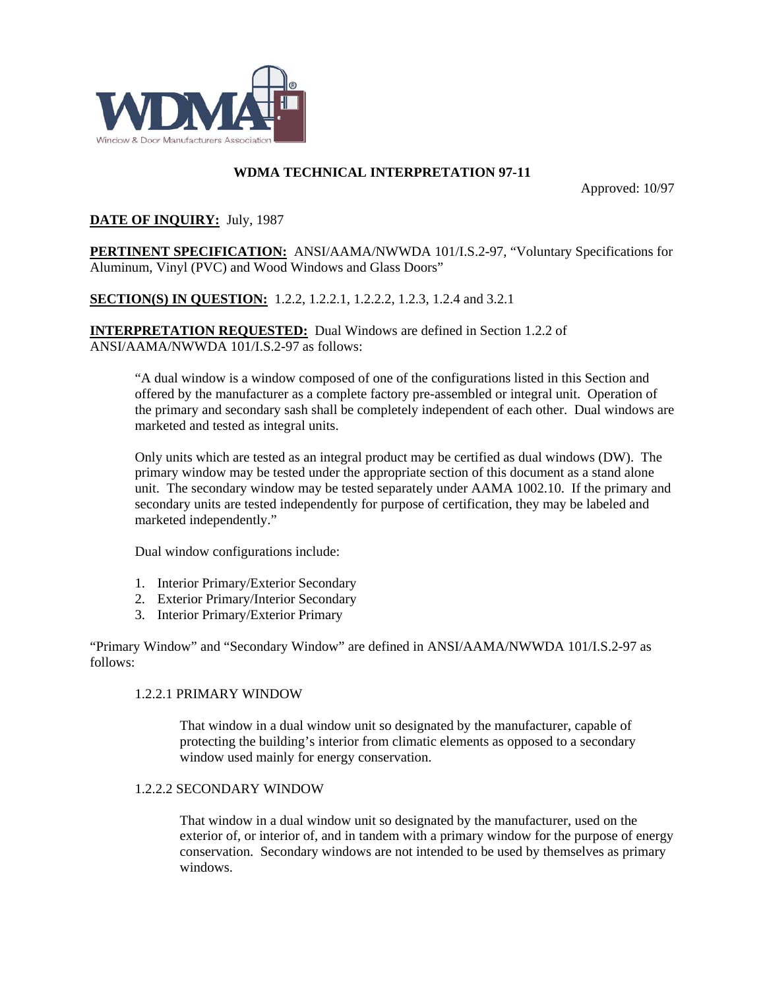

# **WDMA TECHNICAL INTERPRETATION 97-11**

Approved: 10/97

# **DATE OF INQUIRY:** July, 1987

**PERTINENT SPECIFICATION:** ANSI/AAMA/NWWDA 101/I.S.2-97, "Voluntary Specifications for Aluminum, Vinyl (PVC) and Wood Windows and Glass Doors"

**SECTION(S) IN QUESTION:** 1.2.2, 1.2.2.1, 1.2.2.2, 1.2.3, 1.2.4 and 3.2.1

**INTERPRETATION REQUESTED:** Dual Windows are defined in Section 1.2.2 of ANSI/AAMA/NWWDA 101/I.S.2-97 as follows:

"A dual window is a window composed of one of the configurations listed in this Section and offered by the manufacturer as a complete factory pre-assembled or integral unit. Operation of the primary and secondary sash shall be completely independent of each other. Dual windows are marketed and tested as integral units.

Only units which are tested as an integral product may be certified as dual windows (DW). The primary window may be tested under the appropriate section of this document as a stand alone unit. The secondary window may be tested separately under AAMA 1002.10. If the primary and secondary units are tested independently for purpose of certification, they may be labeled and marketed independently."

Dual window configurations include:

- 1. Interior Primary/Exterior Secondary
- 2. Exterior Primary/Interior Secondary
- 3. Interior Primary/Exterior Primary

"Primary Window" and "Secondary Window" are defined in ANSI/AAMA/NWWDA 101/I.S.2-97 as follows:

#### 1.2.2.1 PRIMARY WINDOW

That window in a dual window unit so designated by the manufacturer, capable of protecting the building's interior from climatic elements as opposed to a secondary window used mainly for energy conservation.

#### 1.2.2.2 SECONDARY WINDOW

That window in a dual window unit so designated by the manufacturer, used on the exterior of, or interior of, and in tandem with a primary window for the purpose of energy conservation. Secondary windows are not intended to be used by themselves as primary windows.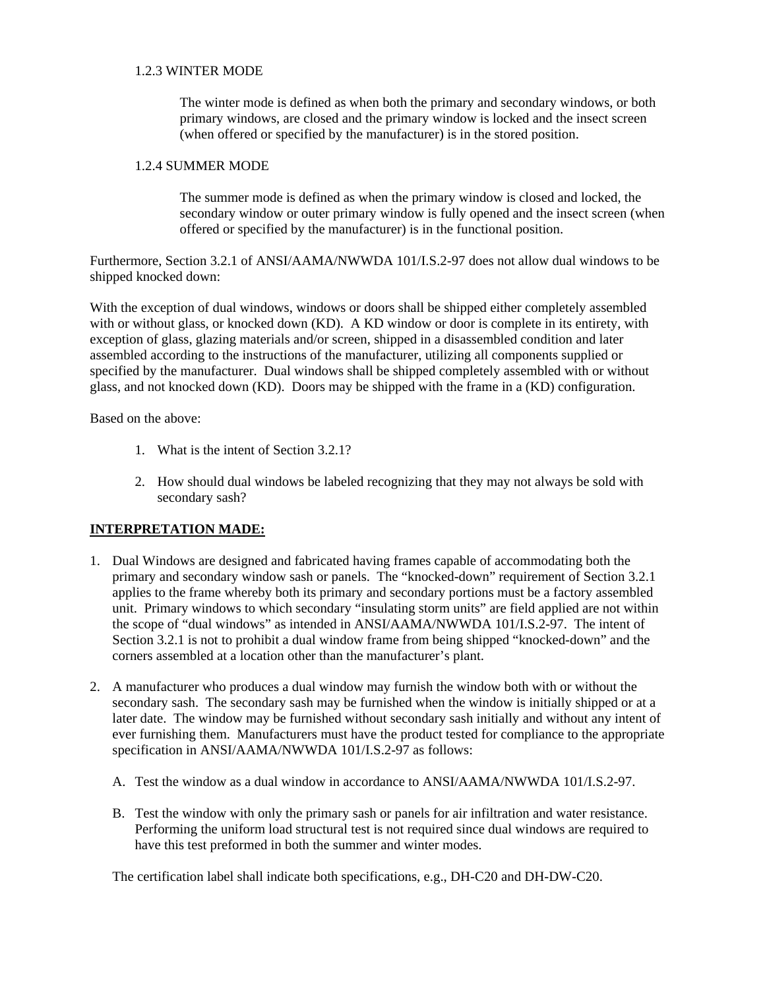### 1.2.3 WINTER MODE

The winter mode is defined as when both the primary and secondary windows, or both primary windows, are closed and the primary window is locked and the insect screen (when offered or specified by the manufacturer) is in the stored position.

### 1.2.4 SUMMER MODE

The summer mode is defined as when the primary window is closed and locked, the secondary window or outer primary window is fully opened and the insect screen (when offered or specified by the manufacturer) is in the functional position.

Furthermore, Section 3.2.1 of ANSI/AAMA/NWWDA 101/I.S.2-97 does not allow dual windows to be shipped knocked down:

With the exception of dual windows, windows or doors shall be shipped either completely assembled with or without glass, or knocked down (KD). A KD window or door is complete in its entirety, with exception of glass, glazing materials and/or screen, shipped in a disassembled condition and later assembled according to the instructions of the manufacturer, utilizing all components supplied or specified by the manufacturer. Dual windows shall be shipped completely assembled with or without glass, and not knocked down (KD). Doors may be shipped with the frame in a (KD) configuration.

Based on the above:

- 1. What is the intent of Section 3.2.1?
- 2. How should dual windows be labeled recognizing that they may not always be sold with secondary sash?

## **INTERPRETATION MADE:**

- 1. Dual Windows are designed and fabricated having frames capable of accommodating both the primary and secondary window sash or panels. The "knocked-down" requirement of Section 3.2.1 applies to the frame whereby both its primary and secondary portions must be a factory assembled unit. Primary windows to which secondary "insulating storm units" are field applied are not within the scope of "dual windows" as intended in ANSI/AAMA/NWWDA 101/I.S.2-97. The intent of Section 3.2.1 is not to prohibit a dual window frame from being shipped "knocked-down" and the corners assembled at a location other than the manufacturer's plant.
- 2. A manufacturer who produces a dual window may furnish the window both with or without the secondary sash. The secondary sash may be furnished when the window is initially shipped or at a later date. The window may be furnished without secondary sash initially and without any intent of ever furnishing them. Manufacturers must have the product tested for compliance to the appropriate specification in ANSI/AAMA/NWWDA 101/I.S.2-97 as follows:
	- A. Test the window as a dual window in accordance to ANSI/AAMA/NWWDA 101/I.S.2-97.
	- B. Test the window with only the primary sash or panels for air infiltration and water resistance. Performing the uniform load structural test is not required since dual windows are required to have this test preformed in both the summer and winter modes.

The certification label shall indicate both specifications, e.g., DH-C20 and DH-DW-C20.